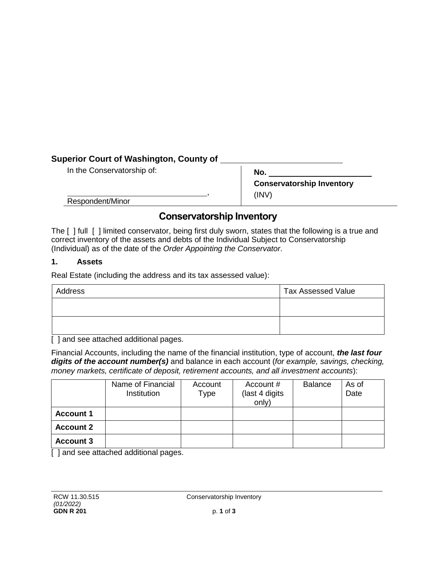# **Superior Court of Washington, County of**

In the Conservatorship of:

**No. Conservatorship Inventory**  (INV)

Respondent/Minor

# **Conservatorship Inventory**

,

The [ ] full [ ] limited conservator, being first duly sworn, states that the following is a true and correct inventory of the assets and debts of the Individual Subject to Conservatorship (Individual) as of the date of the *Order Appointing the Conservator*.

### **1. Assets**

Real Estate (including the address and its tax assessed value):

| Address | <b>Tax Assessed Value</b> |  |
|---------|---------------------------|--|
|         |                           |  |
|         |                           |  |

[] and see attached additional pages.

Financial Accounts, including the name of the financial institution, type of account, *the last four digits of the account number(s)* and balance in each account (*for example, savings, checking, money markets, certificate of deposit, retirement accounts, and all investment accounts*):

|                  | Name of Financial<br>Institution | Account<br>Type | Account #<br>(last 4 digits<br>only) | <b>Balance</b> | As of<br>Date |
|------------------|----------------------------------|-----------------|--------------------------------------|----------------|---------------|
| <b>Account 1</b> |                                  |                 |                                      |                |               |
| <b>Account 2</b> |                                  |                 |                                      |                |               |
| <b>Account 3</b> |                                  |                 |                                      |                |               |

[ ] and see attached additional pages.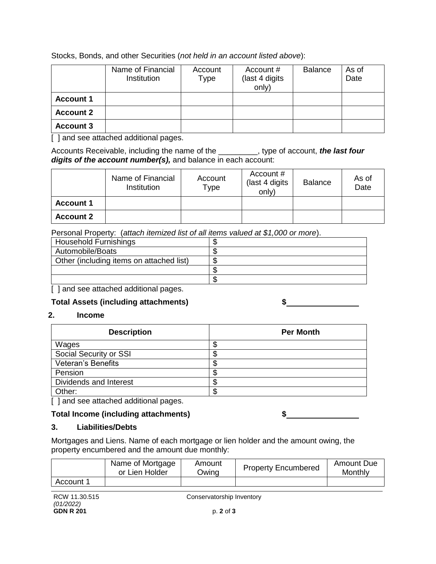Stocks, Bonds, and other Securities (*not held in an account listed above*):

|                  | Name of Financial<br><b>Institution</b> | Account<br>Type | Account #<br>(last 4 digits)<br>only) | <b>Balance</b> | As of<br>Date |
|------------------|-----------------------------------------|-----------------|---------------------------------------|----------------|---------------|
| <b>Account 1</b> |                                         |                 |                                       |                |               |
| <b>Account 2</b> |                                         |                 |                                       |                |               |
| <b>Account 3</b> |                                         |                 |                                       |                |               |

[ ] and see attached additional pages.

Accounts Receivable, including the name of the \_\_\_\_\_\_\_\_\_, type of account, *the last four digits of the account number(s),* and balance in each account:

|                  | Name of Financial<br>Institution | Account<br>Type | Account #<br>(last 4 digits<br>only) | <b>Balance</b> | As of<br>Date |
|------------------|----------------------------------|-----------------|--------------------------------------|----------------|---------------|
| <b>Account 1</b> |                                  |                 |                                      |                |               |
| <b>Account 2</b> |                                  |                 |                                      |                |               |

Personal Property: (*attach itemized list of all items valued at \$1,000 or more*).

| Household Furnishings                    |  |
|------------------------------------------|--|
| Automobile/Boats                         |  |
| Other (including items on attached list) |  |
|                                          |  |
|                                          |  |
| I Josef assetteeled additional poppe     |  |

[ ] and see attached additional pages.

# **Total Assets (including attachments) \$**

### **2. Income**

| <b>Description</b>        | <b>Per Month</b> |
|---------------------------|------------------|
| Wages                     | ъD               |
| Social Security or SSI    | ъD               |
| <b>Veteran's Benefits</b> | ጥ<br>ъD          |
| Pension                   | ጥ<br>ъD          |
| Dividends and Interest    | ጥ<br>ง           |
| Other:                    | S                |

[ ] and see attached additional pages.

# **Total Income (including attachments) \$**

### **3. Liabilities/Debts**

Mortgages and Liens. Name of each mortgage or lien holder and the amount owing, the property encumbered and the amount due monthly:

|           | Name of Mortgage<br>or Lien Holder | Amount<br>Owing | <b>Property Encumbered</b> | Amount Due<br>Monthly |
|-----------|------------------------------------|-----------------|----------------------------|-----------------------|
| Account 1 |                                    |                 |                            |                       |

RCW 11.30.515 *(01/2022)* **GDN R 201**

Conservatorship Inventory